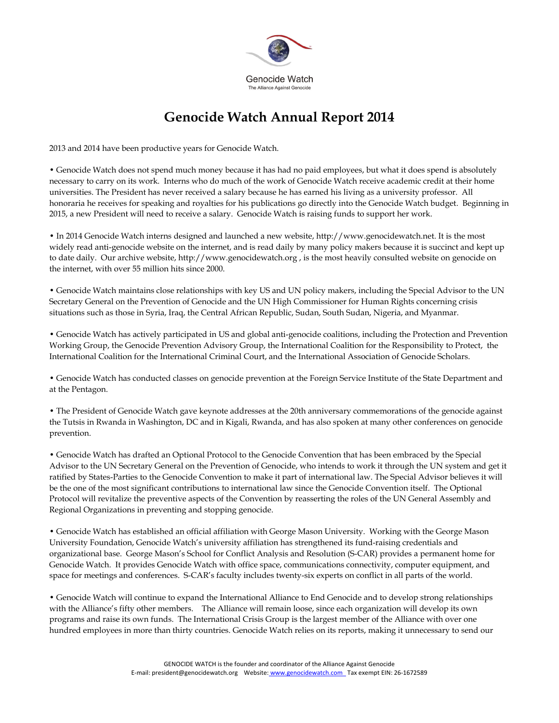

## **Genocide Watch Annual Report 2014**

2013 and 2014 have been productive years for Genocide Watch.

• Genocide Watch does not spend much money because it has had no paid employees, but what it does spend is absolutely necessary to carry on its work. Interns who do much of the work of Genocide Watch receive academic credit at their home universities. The President has never received a salary because he has earned his living as a university professor. All honoraria he receives for speaking and royalties for his publications go directly into the Genocide Watch budget. Beginning in 2015, a new President will need to receive a salary. Genocide Watch is raising funds to support her work.

• In 2014 Genocide Watch interns designed and launched a new website, http://www.genocidewatch.net. It is the most widely read anti-genocide website on the internet, and is read daily by many policy makers because it is succinct and kept up to date daily. Our archive website, http://www.genocidewatch.org , is the most heavily consulted website on genocide on the internet, with over 55 million hits since 2000.

• Genocide Watch maintains close relationships with key US and UN policy makers, including the Special Advisor to the UN Secretary General on the Prevention of Genocide and the UN High Commissioner for Human Rights concerning crisis situations such as those in Syria, Iraq, the Central African Republic, Sudan, South Sudan, Nigeria, and Myanmar.

• Genocide Watch has actively participated in US and global anti-genocide coalitions, including the Protection and Prevention Working Group, the Genocide Prevention Advisory Group, the International Coalition for the Responsibility to Protect, the International Coalition for the International Criminal Court, and the International Association of Genocide Scholars.

• Genocide Watch has conducted classes on genocide prevention at the Foreign Service Institute of the State Department and at the Pentagon.

• The President of Genocide Watch gave keynote addresses at the 20th anniversary commemorations of the genocide against the Tutsis in Rwanda in Washington, DC and in Kigali, Rwanda, and has also spoken at many other conferences on genocide prevention.

• Genocide Watch has drafted an Optional Protocol to the Genocide Convention that has been embraced by the Special Advisor to the UN Secretary General on the Prevention of Genocide, who intends to work it through the UN system and get it ratified by States-Parties to the Genocide Convention to make it part of international law. The Special Advisor believes it will be the one of the most significant contributions to international law since the Genocide Convention itself. The Optional Protocol will revitalize the preventive aspects of the Convention by reasserting the roles of the UN General Assembly and Regional Organizations in preventing and stopping genocide.

• Genocide Watch has established an official affiliation with George Mason University. Working with the George Mason University Foundation, Genocide Watch's university affiliation has strengthened its fund-raising credentials and organizational base. George Mason's School for Conflict Analysis and Resolution (S-CAR) provides a permanent home for Genocide Watch. It provides Genocide Watch with office space, communications connectivity, computer equipment, and space for meetings and conferences. S-CAR's faculty includes twenty-six experts on conflict in all parts of the world.

• Genocide Watch will continue to expand the International Alliance to End Genocide and to develop strong relationships with the Alliance's fifty other members. The Alliance will remain loose, since each organization will develop its own programs and raise its own funds. The International Crisis Group is the largest member of the Alliance with over one hundred employees in more than thirty countries. Genocide Watch relies on its reports, making it unnecessary to send our